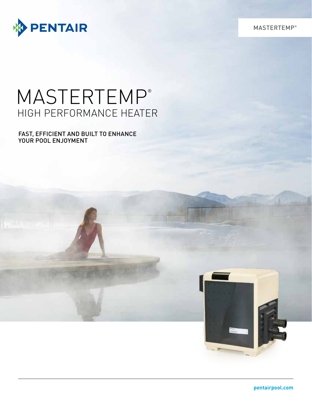



# MASTERTEMP® HIGH PERFORMANCE HEATER

FAST, EFFICIENT AND BUILT TO ENHANCE YOUR POOL ENJOYMENT

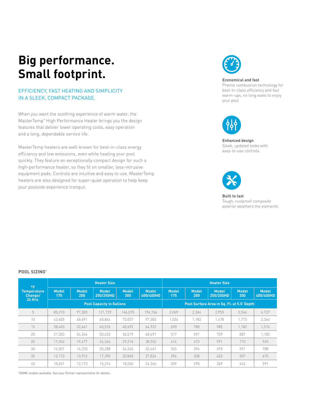## **Big performance. Small footprint.**

### EFFICIENCY, FAST HEATING AND SIMPLICITY IN A SLEEK, COMPACT PACKAGE.

When you want the soothing experience of warm water, the MasterTemp® High Performance Heater brings you the design features that deliver lower operating costs, easy operation and a long, dependable service life.

MasterTemp heaters are well-known for best-in-class energy efficiency and low emissions, even while heating your pool quickly. They feature an exceptionally compact design for such a high-performance heater, so they fit on smaller, less-intrusive equipment pads. Controls are intuitive and easy to use. MasterTemp heaters are also designed for super-quiet operation to help keep your poolside experience tranquil.



#### **Economical and fast**

Premix combustion technology for best-in-class efficiency and fast warm-ups; no long waits to enjoy your pool



**Enhanced design** Sleek, updated looks with easy-to-use controls



**Built to last** Tough, rustproof composite exterior weathers the elements

#### **POOL SIZING\***

| $^{\circ}$ F<br><b>Temperature</b><br>Change/<br><b>24 Hrs.</b> | <b>Heater Size</b>  |                     |                                 |                     |                           | <b>Heater Size</b>                         |                     |                           |                     |                           |
|-----------------------------------------------------------------|---------------------|---------------------|---------------------------------|---------------------|---------------------------|--------------------------------------------|---------------------|---------------------------|---------------------|---------------------------|
|                                                                 | <b>Model</b><br>175 | <b>Model</b><br>200 | <b>Model</b><br>250/250HD       | <b>Model</b><br>300 | <b>Model</b><br>400/400HD | <b>Model</b><br>175                        | <b>Model</b><br>200 | <b>Model</b><br>250/250HD | <b>Model</b><br>300 | <b>Model</b><br>400/400HD |
|                                                                 |                     |                     | <b>Pool Capacity in Gallons</b> |                     |                           | Pool Surface Area in Sq. Ft. at 5.5' Depth |                     |                           |                     |                           |
| 5                                                               | 85.210              | 97.383              | 121.729                         | 146.075             | 194.766                   | 2,069                                      | 2,364               | 2.955                     | 3.546               | 4,727                     |
| 10                                                              | 42.605              | 48,691              | 60,864                          | 73,037              | 97,383                    | 1,034                                      | 1,182               | 1,478                     | 1,773               | 2,364                     |
| 15                                                              | 28.403              | 32,461              | 40,576                          | 48,692              | 64,922                    | 690                                        | 788                 | 985                       | 1.182               | 1,576                     |
| 20                                                              | 21.303              | 24,346              | 30,433                          | 36,519              | 48,691                    | 517                                        | 591                 | 739                       | 887                 | 1,182                     |
| 25                                                              | 17.042              | 19.477              | 24,346                          | 29.216              | 38.953                    | 414                                        | 473                 | 591                       | 710                 | 945                       |
| 30                                                              | 14.201              | 16.230              | 20,288                          | 24,345              | 32,461                    | 345                                        | 394                 | 493                       | 591                 | 788                       |
| 35                                                              | 12,173              | 13,912              | 17,390                          | 20,868              | 27,824                    | 296                                        | 338                 | 423                       | 507                 | 675                       |
| 40                                                              | 10.651              | 12,173              | 15,216                          | 18.260              | 24,346                    | 259                                        | 295                 | 369                       | 443                 | 591                       |

\*ASME models available. See your Pentair representative for details.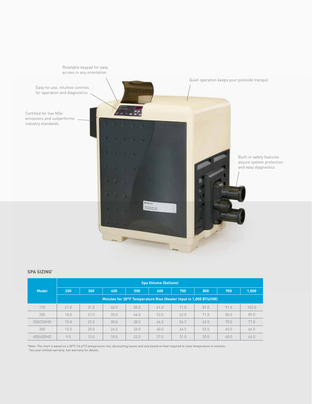

#### **SPA SIZING\***

|              | <b>Spa Volume (Gallons)</b>                                      |      |      |      |      |      |      |      |       |  |  |
|--------------|------------------------------------------------------------------|------|------|------|------|------|------|------|-------|--|--|
| <b>Model</b> | 200                                                              | 300  | 400  | 500  | 600  | 700  | 800  | 900  | 1,000 |  |  |
|              | Minutes for 30°F Temperature Rise (Heater Input in 1,000 BTU/HR) |      |      |      |      |      |      |      |       |  |  |
| 175          | 21.0                                                             | 31.0 | 40.0 | 50.0 | 61.0 | 71.0 | 81.0 | 91.0 | 102.0 |  |  |
| 200          | 18.0                                                             | 27.0 | 35.0 | 44.0 | 53.0 | 62.0 | 71.0 | 80.0 | 89.0  |  |  |
| 250/250HD    | 15.8                                                             | 23.5 | 30.8 | 38.5 | 46.5 | 54.3 | 62.0 | 70.0 | 77.8  |  |  |
| 300          | 13.5                                                             | 20.0 | 26.5 | 33.0 | 40.0 | 46.5 | 53.0 | 60.0 | 66.5  |  |  |
| 400/400HD    | 9.0                                                              | 13.0 | 18.0 | 22.0 | 27.0 | 31.0 | 35.0 | 40.0 | 44.0  |  |  |

\*Note: The chart is based on a 30°F (16.6°C) temperature rise, discounting losses and only based on heat required to raise temperature in minutes. Two-year limited warranty. See warranty for details.